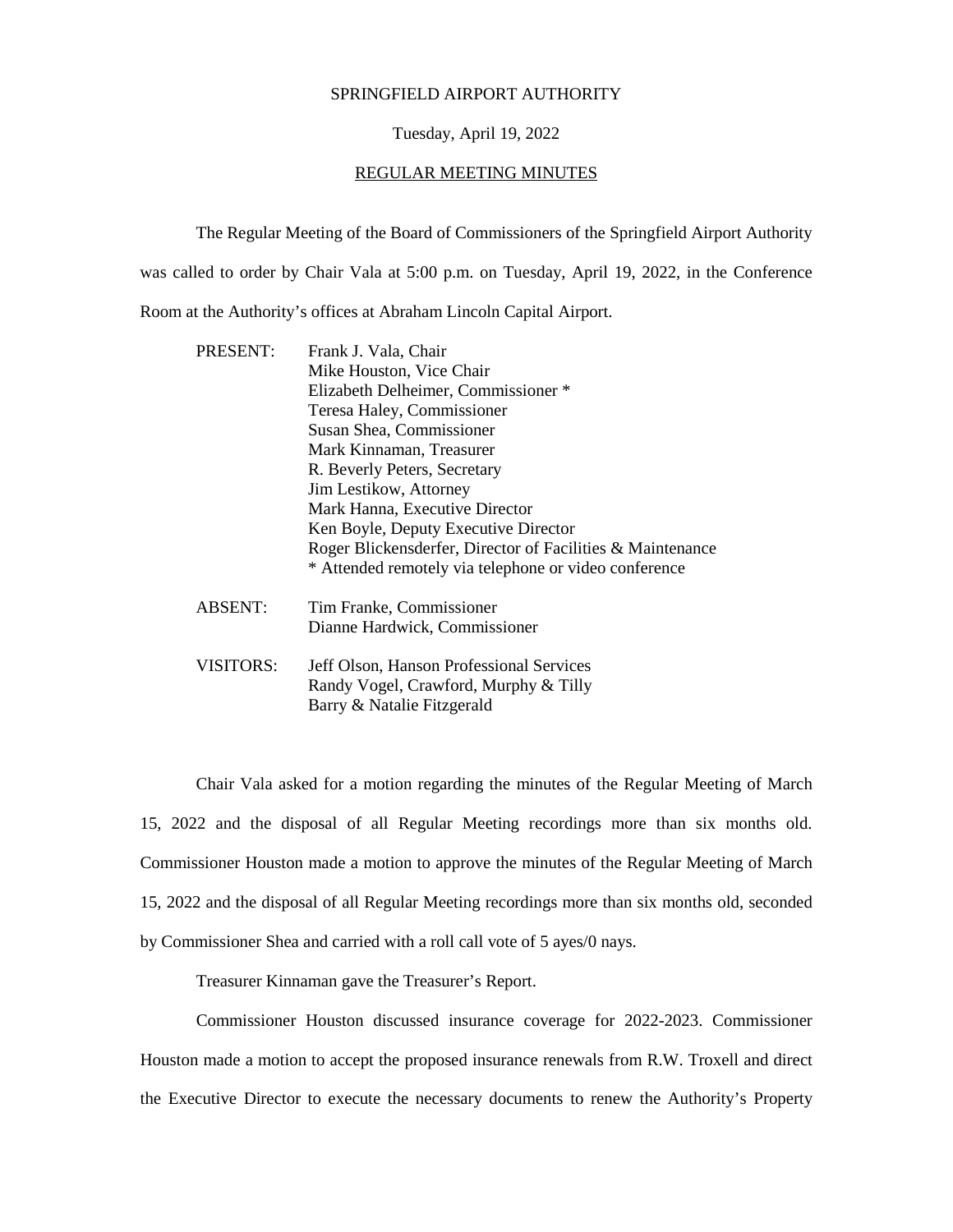## SPRINGFIELD AIRPORT AUTHORITY

## Tuesday, April 19, 2022

## REGULAR MEETING MINUTES

The Regular Meeting of the Board of Commissioners of the Springfield Airport Authority

was called to order by Chair Vala at 5:00 p.m. on Tuesday, April 19, 2022, in the Conference

Room at the Authority's offices at Abraham Lincoln Capital Airport.

| <b>PRESENT:</b> | Frank J. Vala, Chair<br>Mike Houston, Vice Chair<br>Elizabeth Delheimer, Commissioner *<br>Teresa Haley, Commissioner<br>Susan Shea, Commissioner<br>Mark Kinnaman, Treasurer<br>R. Beverly Peters, Secretary<br>Jim Lestikow, Attorney<br>Mark Hanna, Executive Director<br>Ken Boyle, Deputy Executive Director<br>Roger Blickensderfer, Director of Facilities & Maintenance<br>* Attended remotely via telephone or video conference |
|-----------------|------------------------------------------------------------------------------------------------------------------------------------------------------------------------------------------------------------------------------------------------------------------------------------------------------------------------------------------------------------------------------------------------------------------------------------------|
| <b>ABSENT:</b>  | Tim Franke, Commissioner<br>Dianne Hardwick, Commissioner                                                                                                                                                                                                                                                                                                                                                                                |
| VISITORS:       | Jeff Olson, Hanson Professional Services<br>Randy Vogel, Crawford, Murphy & Tilly<br>Barry & Natalie Fitzgerald                                                                                                                                                                                                                                                                                                                          |

Chair Vala asked for a motion regarding the minutes of the Regular Meeting of March 15, 2022 and the disposal of all Regular Meeting recordings more than six months old. Commissioner Houston made a motion to approve the minutes of the Regular Meeting of March 15, 2022 and the disposal of all Regular Meeting recordings more than six months old, seconded by Commissioner Shea and carried with a roll call vote of 5 ayes/0 nays.

Treasurer Kinnaman gave the Treasurer's Report.

Commissioner Houston discussed insurance coverage for 2022-2023. Commissioner Houston made a motion to accept the proposed insurance renewals from R.W. Troxell and direct the Executive Director to execute the necessary documents to renew the Authority's Property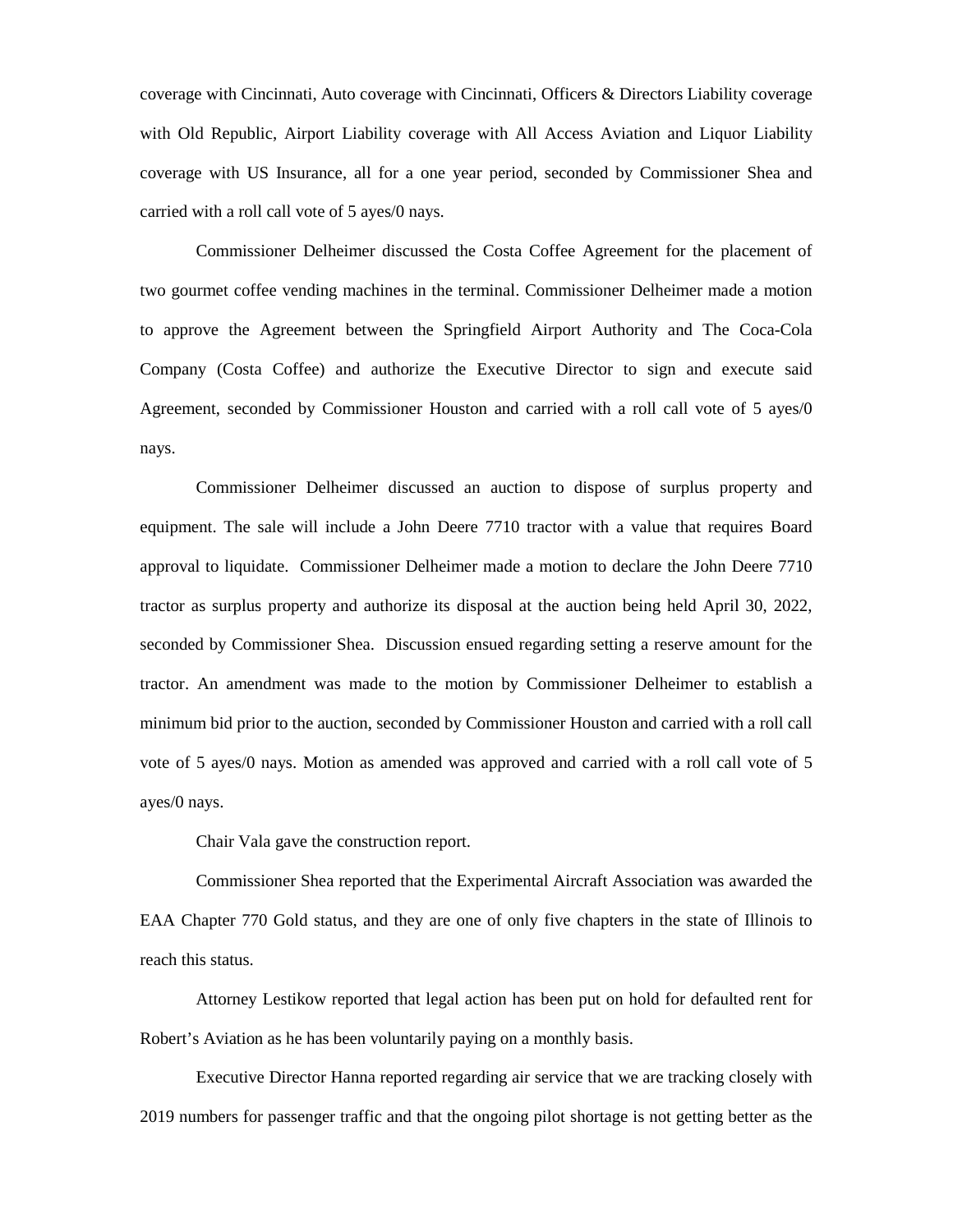coverage with Cincinnati, Auto coverage with Cincinnati, Officers & Directors Liability coverage with Old Republic, Airport Liability coverage with All Access Aviation and Liquor Liability coverage with US Insurance, all for a one year period, seconded by Commissioner Shea and carried with a roll call vote of 5 ayes/0 nays.

Commissioner Delheimer discussed the Costa Coffee Agreement for the placement of two gourmet coffee vending machines in the terminal. Commissioner Delheimer made a motion to approve the Agreement between the Springfield Airport Authority and The Coca-Cola Company (Costa Coffee) and authorize the Executive Director to sign and execute said Agreement, seconded by Commissioner Houston and carried with a roll call vote of 5 ayes/0 nays.

Commissioner Delheimer discussed an auction to dispose of surplus property and equipment. The sale will include a John Deere 7710 tractor with a value that requires Board approval to liquidate. Commissioner Delheimer made a motion to declare the John Deere 7710 tractor as surplus property and authorize its disposal at the auction being held April 30, 2022, seconded by Commissioner Shea. Discussion ensued regarding setting a reserve amount for the tractor. An amendment was made to the motion by Commissioner Delheimer to establish a minimum bid prior to the auction, seconded by Commissioner Houston and carried with a roll call vote of 5 ayes/0 nays. Motion as amended was approved and carried with a roll call vote of 5 ayes/0 nays.

Chair Vala gave the construction report.

Commissioner Shea reported that the Experimental Aircraft Association was awarded the EAA Chapter 770 Gold status, and they are one of only five chapters in the state of Illinois to reach this status.

Attorney Lestikow reported that legal action has been put on hold for defaulted rent for Robert's Aviation as he has been voluntarily paying on a monthly basis.

Executive Director Hanna reported regarding air service that we are tracking closely with 2019 numbers for passenger traffic and that the ongoing pilot shortage is not getting better as the